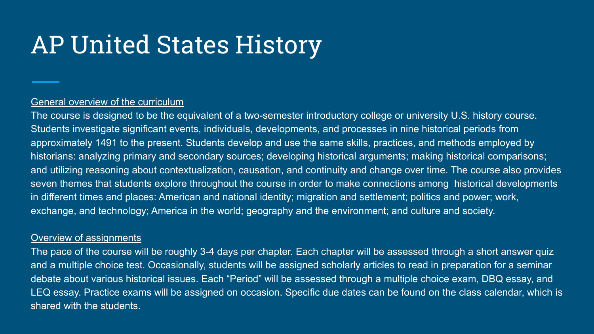## AP United States History

### General overview of the curriculum

The course is designed to be the equivalent of a two-semester introductory college or university U.S. history course. Students investigate significant events, individuals, developments, and processes in nine historical periods from approximately 1491 to the present. Students develop and use the same skills, practices, and methods employed by historians: analyzing primary and secondary sources; developing historical arguments; making historical comparisons; and utilizing reasoning about contextualization, causation, and continuity and change over time. The course also provides seven themes that students explore throughout the course in order to make connections among historical developments in different times and places: American and national identity; migration and settlement; politics and power; work, exchange, and technology; America in the world; geography and the environment; and culture and society.

#### Overview of assignments

The pace of the course will be roughly 3-4 days per chapter. Each chapter will be assessed through a short answer quiz and a multiple choice test. Occasionally, students will be assigned scholarly articles to read in preparation for a seminar debate about various historical issues. Each "Period" will be assessed through a multiple choice exam, DBQ essay, and LEQ essay. Practice exams will be assigned on occasion. Specific due dates can be found on the class calendar, which is shared with the students.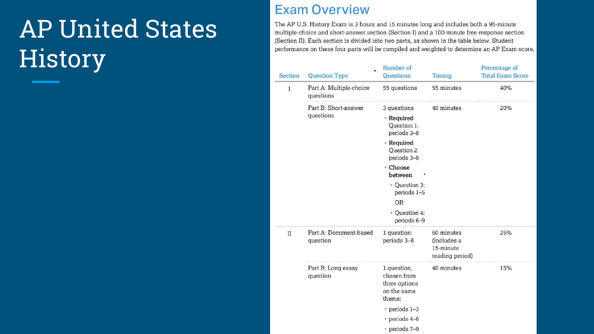# AP United States **History**

## **Exam Overview**

The AP U.S. History Exam is 3 hours and 15 minutes long and includes both a 95-minute multiple-choice and short-answer section (Section I) and a 100-minute free-response section (Section II). Each section is divided into two parts, as shown in the table below. Student performance on these four parts will be compiled and weighted to determine an AP Exam score.

| <b>Section</b> | <b>Question Type</b>                 | Number of<br><b>Questions</b>                                        | <b>Timing</b>                                             | Percentage of<br><b>Total Exam Score</b> |
|----------------|--------------------------------------|----------------------------------------------------------------------|-----------------------------------------------------------|------------------------------------------|
| $\mathbf I$    | Part A: Multiple-choice<br>questions | 55 questions                                                         | 55 minutes                                                | 40%                                      |
|                | Part B: Short-answer<br>questions    | 3 questions                                                          | 40 minutes                                                | 20%                                      |
|                |                                      | • Required<br>Question 1:<br>periods 3-8                             |                                                           |                                          |
|                |                                      | • Required<br>Question 2:<br>periods 3-8                             |                                                           |                                          |
|                |                                      | • Choose<br>between                                                  |                                                           |                                          |
|                |                                      | • Question 3:<br>periods 1-5                                         |                                                           |                                          |
|                |                                      | <b>OR</b>                                                            |                                                           |                                          |
|                |                                      | • Ouestion 4:<br>periods 6-9                                         |                                                           |                                          |
| $_{II}$        | Part A: Document-based<br>question   | 1 question:<br>periods 3-8                                           | 60 minutes<br>(includes a<br>15-minute<br>reading period) | 25%                                      |
|                | Part B: Long essay<br>question       | 1 question,<br>chosen from<br>three options<br>on the same<br>theme: | 40 minutes                                                | 15%                                      |
|                |                                      | $\cdot$ periods 1-3                                                  |                                                           |                                          |
|                |                                      | $\cdot$ periods 4-6                                                  |                                                           |                                          |
|                |                                      | • periods 7-9                                                        |                                                           |                                          |